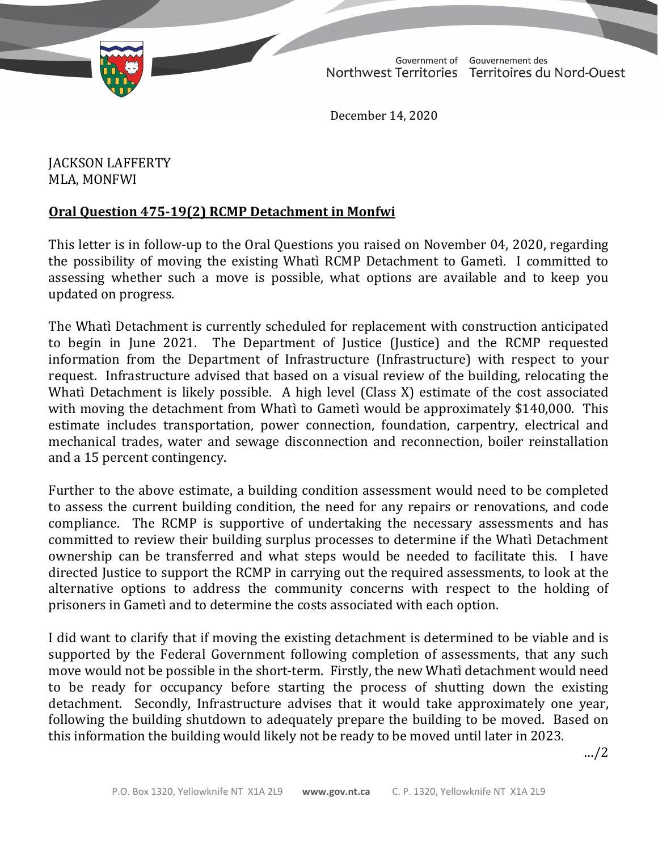TD 277-19(2) TABLED ON FEBRUARY 3, 2021

Government of Gouvernement des Northwest Territories Territoires du Nord-Ouest

December 14, 2020

## JACKSON LAFFERTY MLA, MONFWI

## **Oral Question 475-19(2) RCMP Detachment in Monfwi**

This letter is in follow-up to the Oral Questions you raised on November 04, 2020, regarding the possibility of moving the existing Whatì RCMP Detachment to Gametì. I committed to assessing whether such a move is possible, what options are available and to keep you updated on progress.

The Whatì Detachment is currently scheduled for replacement with construction anticipated to begin in June 2021. The Department of Justice (Justice) and the RCMP requested information from the Department of Infrastructure (Infrastructure) with respect to your request. Infrastructure advised that based on a visual review of the building, relocating the Whatì Detachment is likely possible. A high level (Class X) estimate of the cost associated with moving the detachment from Whatì to Gametì would be approximately \$140,000. This estimate includes transportation, power connection, foundation, carpentry, electrical and mechanical trades, water and sewage disconnection and reconnection, boiler reinstallation and a 15 percent contingency.

Further to the above estimate, a building condition assessment would need to be completed to assess the current building condition, the need for any repairs or renovations, and code compliance. The RCMP is supportive of undertaking the necessary assessments and has committed to review their building surplus processes to determine if the Whatì Detachment ownership can be transferred and what steps would be needed to facilitate this. I have directed Justice to support the RCMP in carrying out the required assessments, to look at the alternative options to address the community concerns with respect to the holding of prisoners in Gametì and to determine the costs associated with each option.

I did want to clarify that if moving the existing detachment is determined to be viable and is supported by the Federal Government following completion of assessments, that any such move would not be possible in the short-term. Firstly, the new Whatì detachment would need to be ready for occupancy before starting the process of shutting down the existing detachment. Secondly, Infrastructure advises that it would take approximately one year, following the building shutdown to adequately prepare the building to be moved. Based on this information the building would likely not be ready to be moved until later in 2023.

…/2